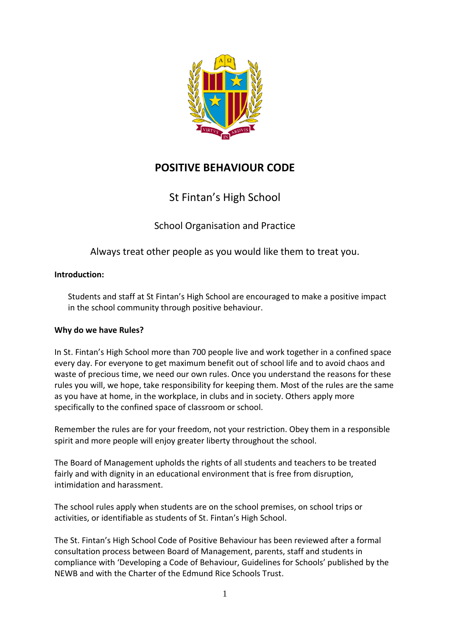

# **POSITIVE BEHAVIOUR CODE**

St Fintan's High School

School Organisation and Practice

Always treat other people as you would like them to treat you.

# **Introduction:**

Students and staff at St Fintan's High School are encouraged to make a positive impact in the school community through positive behaviour.

# **Why do we have Rules?**

In St. Fintan's High School more than 700 people live and work together in a confined space every day. For everyone to get maximum benefit out of school life and to avoid chaos and waste of precious time, we need our own rules. Once you understand the reasons for these rules you will, we hope, take responsibility for keeping them. Most of the rules are the same as you have at home, in the workplace, in clubs and in society. Others apply more specifically to the confined space of classroom or school.

Remember the rules are for your freedom, not your restriction. Obey them in a responsible spirit and more people will enjoy greater liberty throughout the school.

The Board of Management upholds the rights of all students and teachers to be treated fairly and with dignity in an educational environment that is free from disruption, intimidation and harassment.

The school rules apply when students are on the school premises, on school trips or activities, or identifiable as students of St. Fintan's High School.

The St. Fintan's High School Code of Positive Behaviour has been reviewed after a formal consultation process between Board of Management, parents, staff and students in compliance with 'Developing a Code of Behaviour, Guidelines for Schools' published by the NEWB and with the Charter of the Edmund Rice Schools Trust.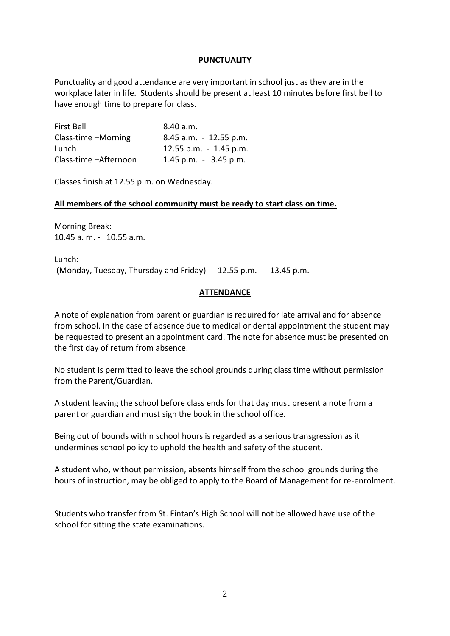### **PUNCTUALITY**

Punctuality and good attendance are very important in school just as they are in the workplace later in life. Students should be present at least 10 minutes before first bell to have enough time to prepare for class.

| First Bell             | 8.40 a.m.                 |
|------------------------|---------------------------|
| Class-time -Morning    | $8.45$ a.m. $-12.55$ p.m. |
| Lunch                  | 12.55 p.m. - 1.45 p.m.    |
| Class-time - Afternoon | $1.45$ p.m. $-3.45$ p.m.  |

Classes finish at 12.55 p.m. on Wednesday.

#### **All members of the school community must be ready to start class on time.**

Morning Break: 10.45 a. m. - 10.55 a.m.

Lunch: (Monday, Tuesday, Thursday and Friday) 12.55 p.m. - 13.45 p.m.

### **ATTENDANCE**

A note of explanation from parent or guardian is required for late arrival and for absence from school. In the case of absence due to medical or dental appointment the student may be requested to present an appointment card. The note for absence must be presented on the first day of return from absence.

No student is permitted to leave the school grounds during class time without permission from the Parent/Guardian.

A student leaving the school before class ends for that day must present a note from a parent or guardian and must sign the book in the school office.

Being out of bounds within school hours is regarded as a serious transgression as it undermines school policy to uphold the health and safety of the student.

A student who, without permission, absents himself from the school grounds during the hours of instruction, may be obliged to apply to the Board of Management for re-enrolment.

Students who transfer from St. Fintan's High School will not be allowed have use of the school for sitting the state examinations.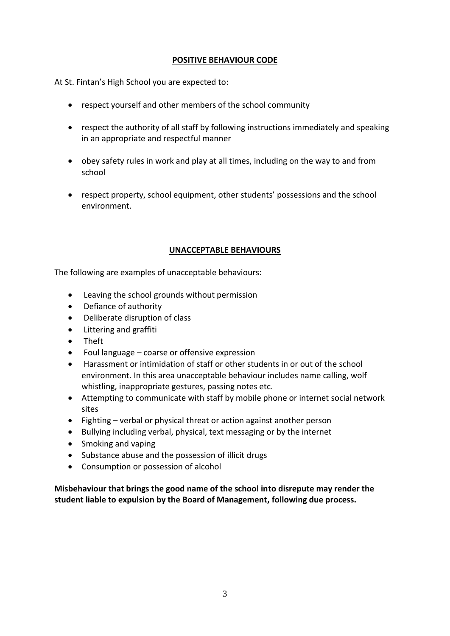# **POSITIVE BEHAVIOUR CODE**

At St. Fintan's High School you are expected to:

- respect yourself and other members of the school community
- respect the authority of all staff by following instructions immediately and speaking in an appropriate and respectful manner
- obey safety rules in work and play at all times, including on the way to and from school
- respect property, school equipment, other students' possessions and the school environment.

#### **UNACCEPTABLE BEHAVIOURS**

The following are examples of unacceptable behaviours:

- Leaving the school grounds without permission
- Defiance of authority
- Deliberate disruption of class
- Littering and graffiti
- Theft
- Foul language coarse or offensive expression
- Harassment or intimidation of staff or other students in or out of the school environment. In this area unacceptable behaviour includes name calling, wolf whistling, inappropriate gestures, passing notes etc.
- Attempting to communicate with staff by mobile phone or internet social network sites
- Fighting verbal or physical threat or action against another person
- Bullying including verbal, physical, text messaging or by the internet
- Smoking and vaping
- Substance abuse and the possession of illicit drugs
- Consumption or possession of alcohol

**Misbehaviour that brings the good name of the school into disrepute may render the student liable to expulsion by the Board of Management, following due process.**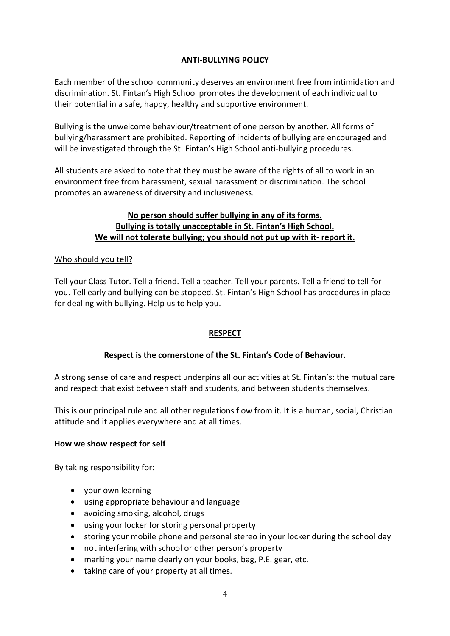# **ANTI-BULLYING POLICY**

Each member of the school community deserves an environment free from intimidation and discrimination. St. Fintan's High School promotes the development of each individual to their potential in a safe, happy, healthy and supportive environment.

Bullying is the unwelcome behaviour/treatment of one person by another. All forms of bullying/harassment are prohibited. Reporting of incidents of bullying are encouraged and will be investigated through the St. Fintan's High School anti-bullying procedures.

All students are asked to note that they must be aware of the rights of all to work in an environment free from harassment, sexual harassment or discrimination. The school promotes an awareness of diversity and inclusiveness.

# **No person should suffer bullying in any of its forms. Bullying is totally unacceptable in St. Fintan's High School. We will not tolerate bullying; you should not put up with it- report it.**

### Who should you tell?

Tell your Class Tutor. Tell a friend. Tell a teacher. Tell your parents. Tell a friend to tell for you. Tell early and bullying can be stopped. St. Fintan's High School has procedures in place for dealing with bullying. Help us to help you.

# **RESPECT**

# **Respect is the cornerstone of the St. Fintan's Code of Behaviour.**

A strong sense of care and respect underpins all our activities at St. Fintan's: the mutual care and respect that exist between staff and students, and between students themselves.

This is our principal rule and all other regulations flow from it. It is a human, social, Christian attitude and it applies everywhere and at all times.

#### **How we show respect for self**

By taking responsibility for:

- your own learning
- using appropriate behaviour and language
- avoiding smoking, alcohol, drugs
- using your locker for storing personal property
- storing your mobile phone and personal stereo in your locker during the school day
- not interfering with school or other person's property
- marking your name clearly on your books, bag, P.E. gear, etc.
- taking care of your property at all times.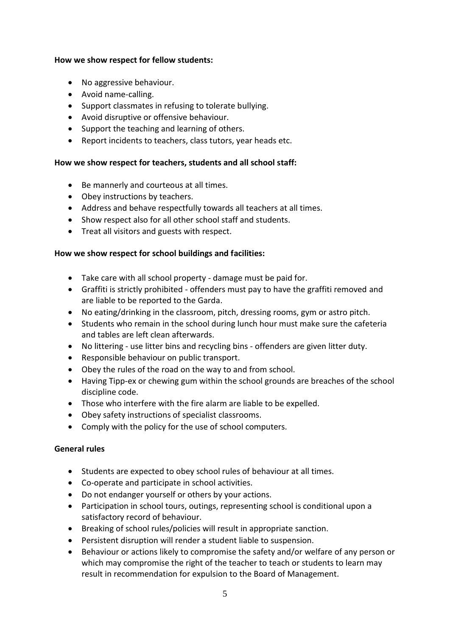#### **How we show respect for fellow students:**

- No aggressive behaviour.
- Avoid name-calling.
- Support classmates in refusing to tolerate bullying.
- Avoid disruptive or offensive behaviour.
- Support the teaching and learning of others.
- Report incidents to teachers, class tutors, year heads etc.

### **How we show respect for teachers, students and all school staff:**

- Be mannerly and courteous at all times.
- Obey instructions by teachers.
- Address and behave respectfully towards all teachers at all times.
- Show respect also for all other school staff and students.
- Treat all visitors and guests with respect.

### **How we show respect for school buildings and facilities:**

- Take care with all school property damage must be paid for.
- Graffiti is strictly prohibited offenders must pay to have the graffiti removed and are liable to be reported to the Garda.
- No eating/drinking in the classroom, pitch, dressing rooms, gym or astro pitch.
- Students who remain in the school during lunch hour must make sure the cafeteria and tables are left clean afterwards.
- No littering use litter bins and recycling bins offenders are given litter duty.
- Responsible behaviour on public transport.
- Obey the rules of the road on the way to and from school.
- Having Tipp-ex or chewing gum within the school grounds are breaches of the school discipline code.
- Those who interfere with the fire alarm are liable to be expelled.
- Obey safety instructions of specialist classrooms.
- Comply with the policy for the use of school computers.

# **General rules**

- Students are expected to obey school rules of behaviour at all times.
- Co-operate and participate in school activities.
- Do not endanger yourself or others by your actions.
- Participation in school tours, outings, representing school is conditional upon a satisfactory record of behaviour.
- Breaking of school rules/policies will result in appropriate sanction.
- Persistent disruption will render a student liable to suspension.
- Behaviour or actions likely to compromise the safety and/or welfare of any person or which may compromise the right of the teacher to teach or students to learn may result in recommendation for expulsion to the Board of Management.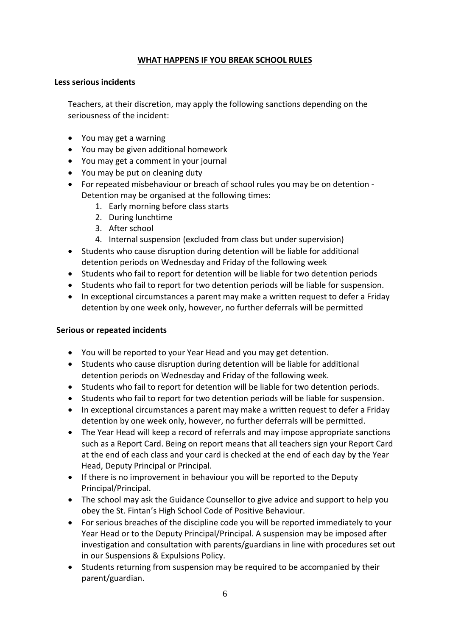### **WHAT HAPPENS IF YOU BREAK SCHOOL RULES**

#### **Less serious incidents**

Teachers, at their discretion, may apply the following sanctions depending on the seriousness of the incident:

- You may get a warning
- You may be given additional homework
- You may get a comment in your journal
- You may be put on cleaning duty
- For repeated misbehaviour or breach of school rules you may be on detention Detention may be organised at the following times:
	- 1. Early morning before class starts
	- 2. During lunchtime
	- 3. After school
	- 4. Internal suspension (excluded from class but under supervision)
- Students who cause disruption during detention will be liable for additional detention periods on Wednesday and Friday of the following week
- Students who fail to report for detention will be liable for two detention periods
- Students who fail to report for two detention periods will be liable for suspension.
- In exceptional circumstances a parent may make a written request to defer a Friday detention by one week only, however, no further deferrals will be permitted

#### **Serious or repeated incidents**

- You will be reported to your Year Head and you may get detention.
- Students who cause disruption during detention will be liable for additional detention periods on Wednesday and Friday of the following week.
- Students who fail to report for detention will be liable for two detention periods.
- Students who fail to report for two detention periods will be liable for suspension.
- In exceptional circumstances a parent may make a written request to defer a Friday detention by one week only, however, no further deferrals will be permitted.
- The Year Head will keep a record of referrals and may impose appropriate sanctions such as a Report Card. Being on report means that all teachers sign your Report Card at the end of each class and your card is checked at the end of each day by the Year Head, Deputy Principal or Principal.
- If there is no improvement in behaviour you will be reported to the Deputy Principal/Principal.
- The school may ask the Guidance Counsellor to give advice and support to help you obey the St. Fintan's High School Code of Positive Behaviour.
- For serious breaches of the discipline code you will be reported immediately to your Year Head or to the Deputy Principal/Principal. A suspension may be imposed after investigation and consultation with parents/guardians in line with procedures set out in our Suspensions & Expulsions Policy.
- Students returning from suspension may be required to be accompanied by their parent/guardian.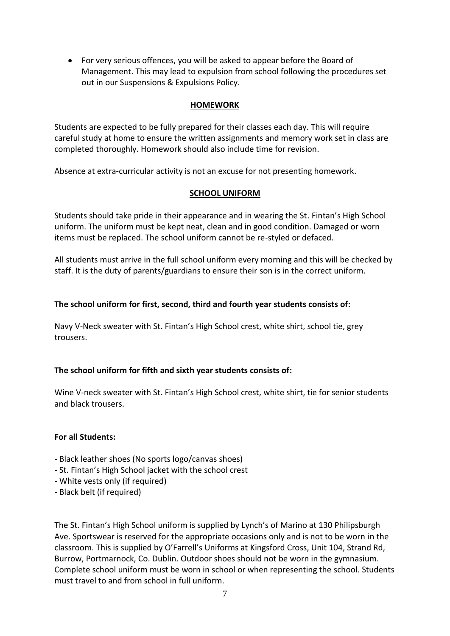For very serious offences, you will be asked to appear before the Board of Management. This may lead to expulsion from school following the procedures set out in our Suspensions & Expulsions Policy.

### **HOMEWORK**

Students are expected to be fully prepared for their classes each day. This will require careful study at home to ensure the written assignments and memory work set in class are completed thoroughly. Homework should also include time for revision.

Absence at extra-curricular activity is not an excuse for not presenting homework.

### **SCHOOL UNIFORM**

Students should take pride in their appearance and in wearing the St. Fintan's High School uniform. The uniform must be kept neat, clean and in good condition. Damaged or worn items must be replaced. The school uniform cannot be re-styled or defaced.

All students must arrive in the full school uniform every morning and this will be checked by staff. It is the duty of parents/guardians to ensure their son is in the correct uniform.

### **The school uniform for first, second, third and fourth year students consists of:**

Navy V-Neck sweater with St. Fintan's High School crest, white shirt, school tie, grey trousers.

# **The school uniform for fifth and sixth year students consists of:**

Wine V-neck sweater with St. Fintan's High School crest, white shirt, tie for senior students and black trousers.

#### **For all Students:**

- Black leather shoes (No sports logo/canvas shoes)
- St. Fintan's High School jacket with the school crest
- White vests only (if required)
- Black belt (if required)

The St. Fintan's High School uniform is supplied by Lynch's of Marino at 130 Philipsburgh Ave. Sportswear is reserved for the appropriate occasions only and is not to be worn in the classroom. This is supplied by O'Farrell's Uniforms at Kingsford Cross, Unit 104, Strand Rd, Burrow, Portmarnock, Co. Dublin. Outdoor shoes should not be worn in the gymnasium. Complete school uniform must be worn in school or when representing the school. Students must travel to and from school in full uniform.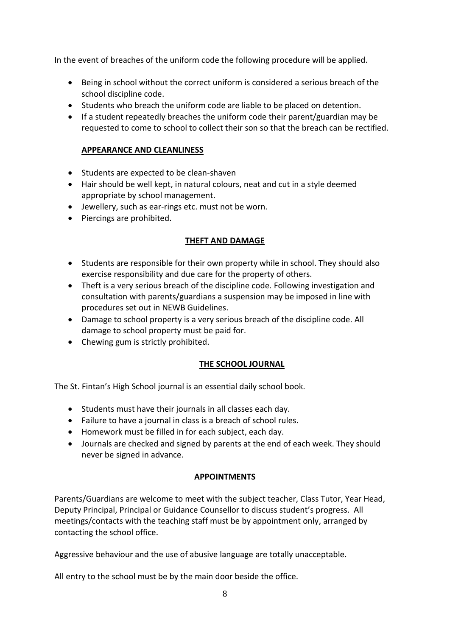In the event of breaches of the uniform code the following procedure will be applied.

- Being in school without the correct uniform is considered a serious breach of the school discipline code.
- Students who breach the uniform code are liable to be placed on detention.
- If a student repeatedly breaches the uniform code their parent/guardian may be requested to come to school to collect their son so that the breach can be rectified.

# **APPEARANCE AND CLEANLINESS**

- Students are expected to be clean-shaven
- Hair should be well kept, in natural colours, neat and cut in a style deemed appropriate by school management.
- Jewellery, such as ear-rings etc. must not be worn.
- Piercings are prohibited.

#### **THEFT AND DAMAGE**

- Students are responsible for their own property while in school. They should also exercise responsibility and due care for the property of others.
- Theft is a very serious breach of the discipline code. Following investigation and consultation with parents/guardians a suspension may be imposed in line with procedures set out in NEWB Guidelines.
- Damage to school property is a very serious breach of the discipline code. All damage to school property must be paid for.
- Chewing gum is strictly prohibited.

# **THE SCHOOL JOURNAL**

The St. Fintan's High School journal is an essential daily school book.

- Students must have their journals in all classes each day.
- Failure to have a journal in class is a breach of school rules.
- Homework must be filled in for each subject, each day.
- Journals are checked and signed by parents at the end of each week. They should never be signed in advance.

# **APPOINTMENTS**

Parents/Guardians are welcome to meet with the subject teacher, Class Tutor, Year Head, Deputy Principal, Principal or Guidance Counsellor to discuss student's progress. All meetings/contacts with the teaching staff must be by appointment only, arranged by contacting the school office.

Aggressive behaviour and the use of abusive language are totally unacceptable.

All entry to the school must be by the main door beside the office.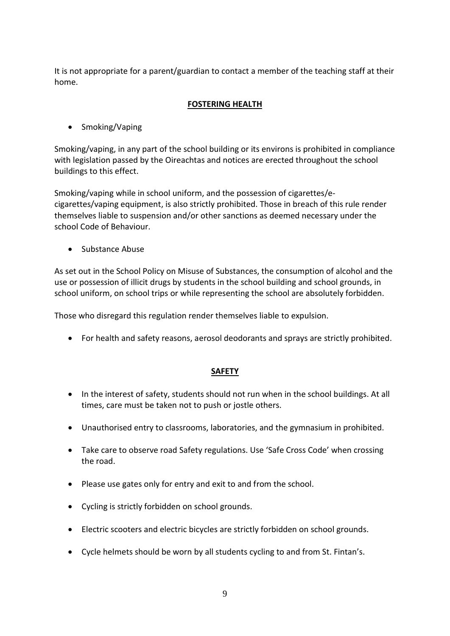It is not appropriate for a parent/guardian to contact a member of the teaching staff at their home.

# **FOSTERING HEALTH**

• Smoking/Vaping

Smoking/vaping, in any part of the school building or its environs is prohibited in compliance with legislation passed by the Oireachtas and notices are erected throughout the school buildings to this effect.

Smoking/vaping while in school uniform, and the possession of cigarettes/ecigarettes/vaping equipment, is also strictly prohibited. Those in breach of this rule render themselves liable to suspension and/or other sanctions as deemed necessary under the school Code of Behaviour.

**Substance Abuse** 

As set out in the School Policy on Misuse of Substances, the consumption of alcohol and the use or possession of illicit drugs by students in the school building and school grounds, in school uniform, on school trips or while representing the school are absolutely forbidden.

Those who disregard this regulation render themselves liable to expulsion.

For health and safety reasons, aerosol deodorants and sprays are strictly prohibited.

#### **SAFETY**

- In the interest of safety, students should not run when in the school buildings. At all times, care must be taken not to push or jostle others.
- Unauthorised entry to classrooms, laboratories, and the gymnasium in prohibited.
- Take care to observe road Safety regulations. Use 'Safe Cross Code' when crossing the road.
- Please use gates only for entry and exit to and from the school.
- Cycling is strictly forbidden on school grounds.
- Electric scooters and electric bicycles are strictly forbidden on school grounds.
- Cycle helmets should be worn by all students cycling to and from St. Fintan's.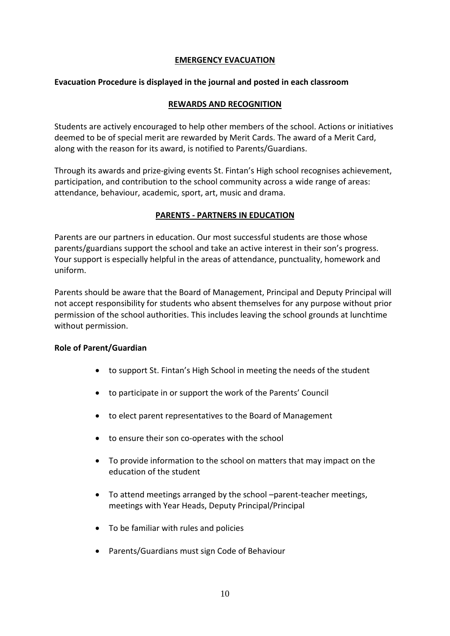# **EMERGENCY EVACUATION**

### **Evacuation Procedure is displayed in the journal and posted in each classroom**

### **REWARDS AND RECOGNITION**

Students are actively encouraged to help other members of the school. Actions or initiatives deemed to be of special merit are rewarded by Merit Cards. The award of a Merit Card, along with the reason for its award, is notified to Parents/Guardians.

Through its awards and prize-giving events St. Fintan's High school recognises achievement, participation, and contribution to the school community across a wide range of areas: attendance, behaviour, academic, sport, art, music and drama.

### **PARENTS - PARTNERS IN EDUCATION**

Parents are our partners in education. Our most successful students are those whose parents/guardians support the school and take an active interest in their son's progress. Your support is especially helpful in the areas of attendance, punctuality, homework and uniform.

Parents should be aware that the Board of Management, Principal and Deputy Principal will not accept responsibility for students who absent themselves for any purpose without prior permission of the school authorities. This includes leaving the school grounds at lunchtime without permission.

#### **Role of Parent/Guardian**

- to support St. Fintan's High School in meeting the needs of the student
- to participate in or support the work of the Parents' Council
- to elect parent representatives to the Board of Management
- to ensure their son co-operates with the school
- To provide information to the school on matters that may impact on the education of the student
- To attend meetings arranged by the school –parent-teacher meetings, meetings with Year Heads, Deputy Principal/Principal
- To be familiar with rules and policies
- Parents/Guardians must sign Code of Behaviour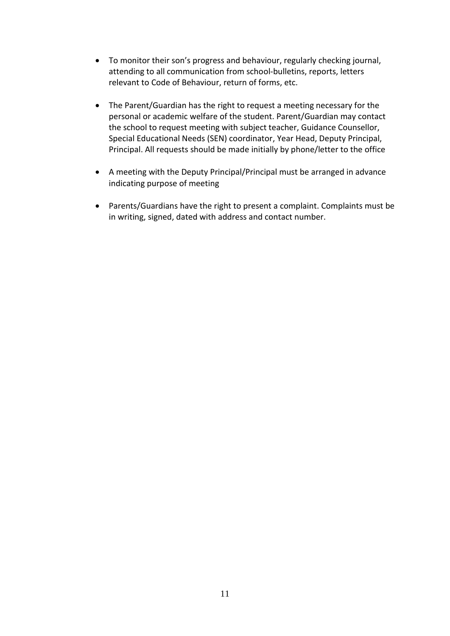- To monitor their son's progress and behaviour, regularly checking journal, attending to all communication from school-bulletins, reports, letters relevant to Code of Behaviour, return of forms, etc.
- The Parent/Guardian has the right to request a meeting necessary for the personal or academic welfare of the student. Parent/Guardian may contact the school to request meeting with subject teacher, Guidance Counsellor, Special Educational Needs (SEN) coordinator, Year Head, Deputy Principal, Principal. All requests should be made initially by phone/letter to the office
- A meeting with the Deputy Principal/Principal must be arranged in advance indicating purpose of meeting
- Parents/Guardians have the right to present a complaint. Complaints must be in writing, signed, dated with address and contact number.